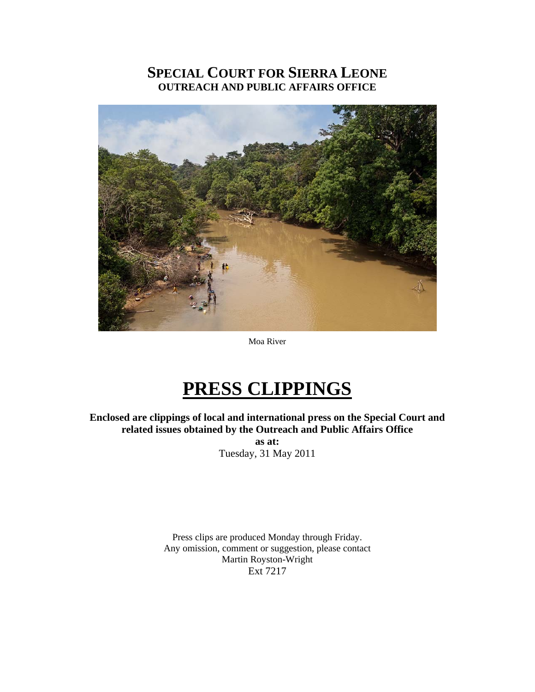# **SPECIAL COURT FOR SIERRA LEONE OUTREACH AND PUBLIC AFFAIRS OFFICE**



Moa River

# **PRESS CLIPPINGS**

**Enclosed are clippings of local and international press on the Special Court and related issues obtained by the Outreach and Public Affairs Office as at:**  Tuesday, 31 May 2011

> Press clips are produced Monday through Friday. Any omission, comment or suggestion, please contact Martin Royston-Wright Ext 7217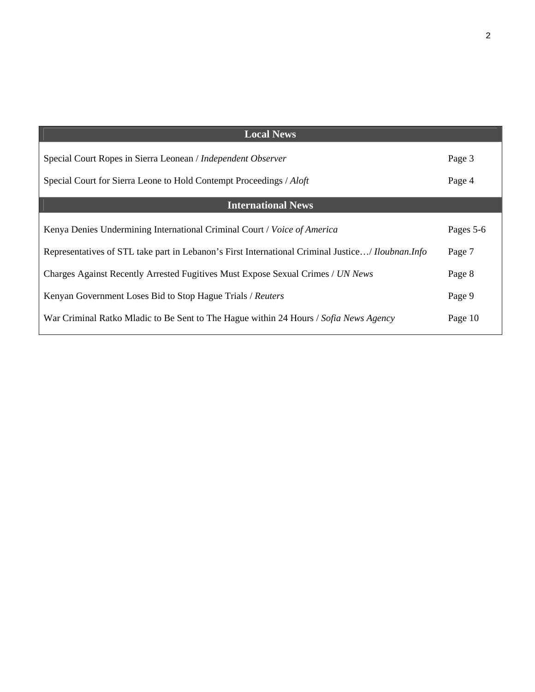| <b>Local News</b>                                                                                        |           |
|----------------------------------------------------------------------------------------------------------|-----------|
| Special Court Ropes in Sierra Leonean / Independent Observer                                             | Page 3    |
| Special Court for Sierra Leone to Hold Contempt Proceedings / Aloft                                      | Page 4    |
| <b>International News</b>                                                                                |           |
| Kenya Denies Undermining International Criminal Court / Voice of America                                 | Pages 5-6 |
| Representatives of STL take part in Lebanon's First International Criminal Justice/ <i>Iloubnan.Info</i> | Page 7    |
| Charges Against Recently Arrested Fugitives Must Expose Sexual Crimes / UN News                          | Page 8    |
| Kenyan Government Loses Bid to Stop Hague Trials / Reuters                                               | Page 9    |
| War Criminal Ratko Mladic to Be Sent to The Hague within 24 Hours / Sofia News Agency                    | Page 10   |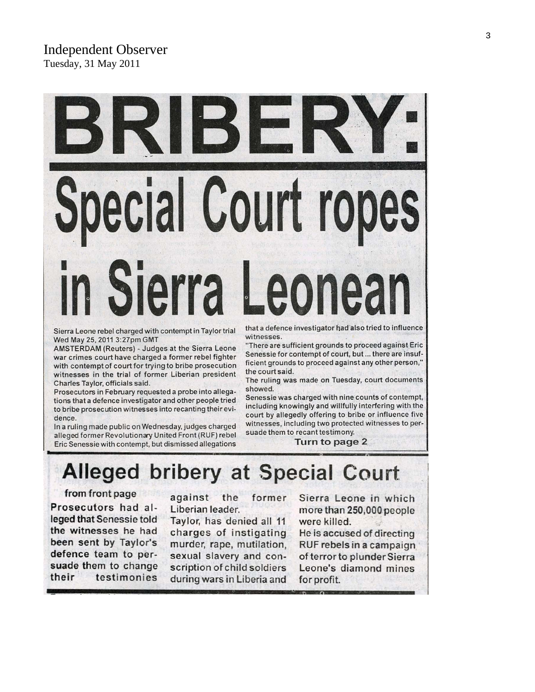Sierra Leone rebel charged with contempt in Taylor trial Wed May 25, 2011 3:27pm GMT

AMSTERDAM (Reuters) - Judges at the Sierra Leone war crimes court have charged a former rebel fighter with contempt of court for trying to bribe prosecution witnesses in the trial of former Liberian president Charles Taylor, officials said.

Prosecutors in February requested a probe into allegations that a defence investigator and other people tried to bribe prosecution witnesses into recanting their evidence.

In a ruling made public on Wednesday, judges charged alleged former Revolutionary United Front (RUF) rebel Eric Senessie with contempt, but dismissed allegations

that a defence investigator had also tried to influence witnesses.

"There are sufficient grounds to proceed against Eric Senessie for contempt of court, but ... there are insufficient grounds to proceed against any other person," the court said.

The ruling was made on Tuesday, court documents showed.

Senessie was charged with nine counts of contempt, including knowingly and willfully interfering with the court by allegedly offering to bribe or influence five witnesses, including two protected witnesses to persuade them to recant testimony.

Turn to page 2

# **Alleged bribery at Special Court**

ecial Court rop

Sierra Leo

### from front page

Prosecutors had alleged that Senessie told the witnesses he had been sent by Taylor's defence team to persuade them to change their testimonies

against the former Liberian leader.

Taylor, has denied all 11 charges of instigating murder, rape, mutilation, sexual slavery and conscription of child soldiers during wars in Liberia and

Sierra Leone in which more than 250,000 people were killed.

He is accused of directing RUF rebels in a campaign of terror to plunder Sierra Leone's diamond mines for profit.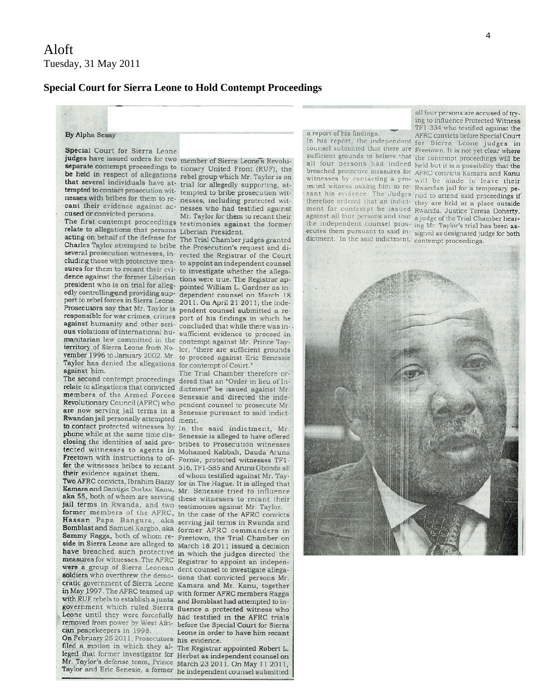### **Special Court for Sierra Leone to Hold Contempt Proceedings**

#### By Alpha Sesay

Special Court for Sierra Leone

judges have issued orders for two member of Sierra Leone's Revoluseparate contempt proceedings to tionary United Front (RUF), the be held in respect of allegations rebel group which Mr. Taylor is on that several individuals have at- trial for allegedly supporting, attempted to contact prosecution wit-tempted to bribe prosecution witnesses with bribes for them to re- nesses, including protected witcant their evidence against ac- nesses who had testified against cused or convicted persons.

relate to allegations that persons Liberian President. acting on behalf of the defense for The Trial Chamber judges granted Charles Taylor attempted to bribe the Prosecution's request and diseveral prosecution witnesses, in- rected the Registrar of the Court cluding those with protective mea- to appoint an independent counsel sures for them to recant their evi- to investigate whether the allegadence against the former Liberian tions were true. The Registrar appresident who is on trial for alleg-pointed William L. Gardner as in-<br>edly controlling and providing sup-dependent counsel on March 18 port to rebel forces in Sierra Leone. 2011. On April 21 2011, the inde-Prosecutors say that Mr. Taylor is pendent counsel submitted a reresponsible for war crimes, crimes port of his findings in which he against humanity and other seri-concluded that while there was inous violations of international hu-sufficient evidence to proceed in manitarian law committed in the contempt against Mr. Prince Tayterritory of Sierra Leone from No- lor, "there are sufficient grounds vember 1996 to January 2002. Mr. to proceed against Eric Senessie Taylor has denied the allegations for contempt of Court." against him.

members of the Armed Forces Senessie and directed the indeare now serving jail terms in a Senessie pursuant to said indict-Rwandan jail personally attempted ment. to contact protected witnesses by In the said indictment, Mr. Freetown with instructions to of- Fornie, protected witnesses TF1their evidence against them.

jail terms in Rwanda, and two testimonies against Mr. Taylor. can peacekeepers in 1998.

On February 25 2011, Prosecutors his evidence. filed a motion in which they al- The Registrar appointed Robert L. Mr. Taylor's defense team, Prince March 23 2011. On May 11 2011,

Mr. Taylor for them to recant their The first contempt proceedings testimonies against the former

The Trial Chamber therefore or-The second contempt proceedings dered that an "Order in lieu of Inrelate to allegations that convicted dictment" be issued against Mr. Revolutionary Council (AFRC) who pendent counsel to prosecute Mr.

phone while at the same time dis- Senessie is alleged to have offered closing the identities of said pro- bribes to Prosecution witnesses tected witnesses to agents in Mohamed Kabbah, Dauda Aruna fer the witnesses bribes to recant 516, TF1-585 and Aruna Gbonda all of whom testified against Mr. Tay-Two AFRC convicts, Ibrahim Bazzy lor in The Hague. It is alleged that Kamara and Santigie Borbor Kanu, Mr. Senessie tried to influence aka 55, both of whom are serving these witnesses to recant their former members of the AFRC, In the case of the AFRC convicts Hassan Papa Bangura, aka serving jail terms in Rwanda and Bomblast and Samuel Kargbo, aka former AFRC commanders in Sammy Ragga, both of whom re- Freetown, the Trial Chamber on side in Sierra Leone are alleged to March 18 2011 issued a decision have breached such protective in which the judges directed the measures for witnesses. The AFRC Registrar to appoint an indepenwere a group of Sierra Leonean dent counsel to investigate allegasoldiers who overthrew the demo- tions that convicted persons Mr. cratic government of Sierra Leone Kamara and Mr. Kanu, together in May 1997. The AFRC teamed up with former AFRC members Ragga with RUF rebels to establish a junta and Bomblast had attempted to ingovernment which ruled Sierra fluence a protected witness who Leone until they were forcefully had testified in the AFRC trials removed from power by West Afri- before the Special Court for Sierra Leone in order to have him recant

leged that former investigator for Herbst as independent counsel on Taylor and Eric Senesie, a former he independent counsel submitted

#### a report of his findings.

counsel submitted that there are Freetown. It is not yet clear where sufficient grounds to believe that the contempt proceedings will be all four persons had indeed held but it is a possibility that the breached protective measures for AFRC convicts Kamara and Kanu witnesses by contacting a pro- will be made to leave their tected witness asking him to re- Rwandan jail for a temporary pecant his evidence. The Judges riod to attend said proceedings if therefore ordered that an indict-they are held at a place outside ment for contempt be issued Rwanda. Justice Teresa Doherty, against all four persons and that a judge of the Trial Chamber hearthe independent counsel pros-ing Mr. Taylor's trial has been asecutes them pursuant to said in-signed as designated judge for both dictment. In the said indictment, contempt proceedings.

all four persons are accused of trving to influence Protected Witness TF1-334 who testified against the AFRC convicts before Special Court In his report, the independent for Sierra Leone judges in

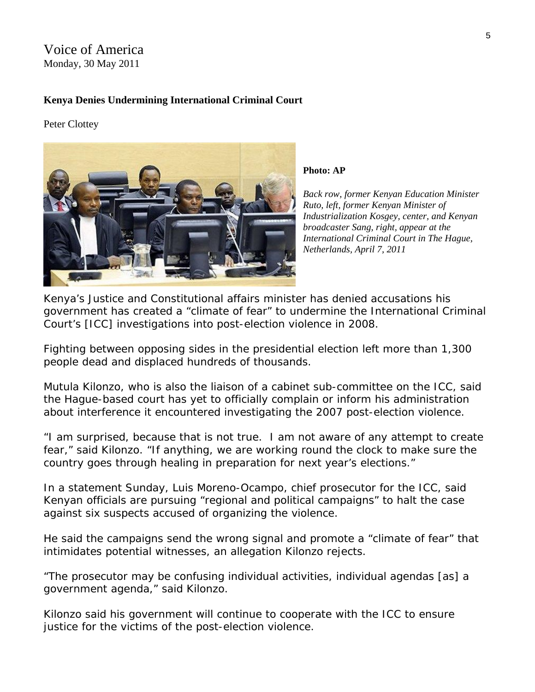# Voice of America Monday, 30 May 2011

## **Kenya Denies Undermining International Criminal Court**

Peter Clottey



**Photo: AP** 

*Back row, former Kenyan Education Minister Ruto, left, former Kenyan Minister of Industrialization Kosgey, center, and Kenyan broadcaster Sang, right, appear at the International Criminal Court in The Hague, Netherlands, April 7, 2011* 

Kenya's Justice and Constitutional affairs minister has denied accusations his government has created a "climate of fear" to undermine the International Criminal Court's [ICC] investigations into post-election violence in 2008.

Fighting between opposing sides in the presidential election left more than 1,300 people dead and displaced hundreds of thousands.

Mutula Kilonzo, who is also the liaison of a cabinet sub-committee on the ICC, said the Hague-based court has yet to officially complain or inform his administration about interference it encountered investigating the 2007 post-election violence.

"I am surprised, because that is not true. I am not aware of any attempt to create fear," said Kilonzo. "If anything, we are working round the clock to make sure the country goes through healing in preparation for next year's elections."

In a statement Sunday, Luis Moreno-Ocampo, chief prosecutor for the ICC, said Kenyan officials are pursuing "regional and political campaigns" to halt the case against six suspects accused of organizing the violence.

He said the campaigns send the wrong signal and promote a "climate of fear" that intimidates potential witnesses, an allegation Kilonzo rejects.

"The prosecutor may be confusing individual activities, individual agendas [as] a government agenda," said Kilonzo.

Kilonzo said his government will continue to cooperate with the ICC to ensure justice for the victims of the post-election violence.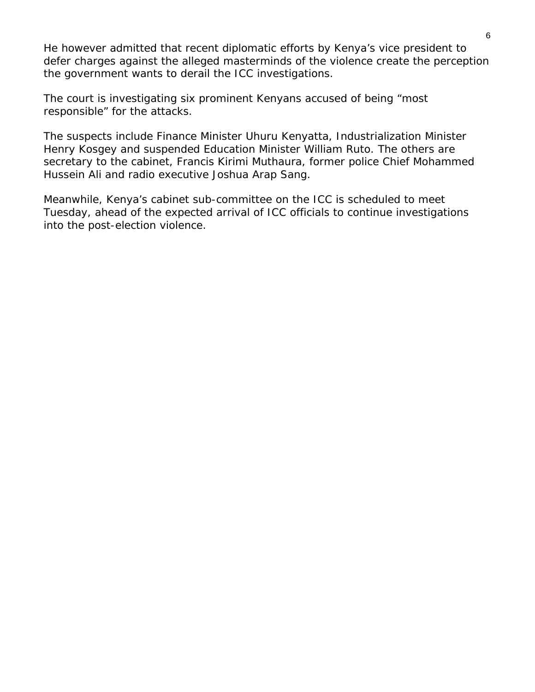He however admitted that recent diplomatic efforts by Kenya's vice president to defer charges against the alleged masterminds of the violence create the perception the government wants to derail the ICC investigations.

The court is investigating six prominent Kenyans accused of being "most responsible" for the attacks.

The suspects include Finance Minister Uhuru Kenyatta, Industrialization Minister Henry Kosgey and suspended Education Minister William Ruto. The others are secretary to the cabinet, Francis Kirimi Muthaura, former police Chief Mohammed Hussein Ali and radio executive Joshua Arap Sang.

Meanwhile, Kenya's cabinet sub-committee on the ICC is scheduled to meet Tuesday, ahead of the expected arrival of ICC officials to continue investigations into the post-election violence.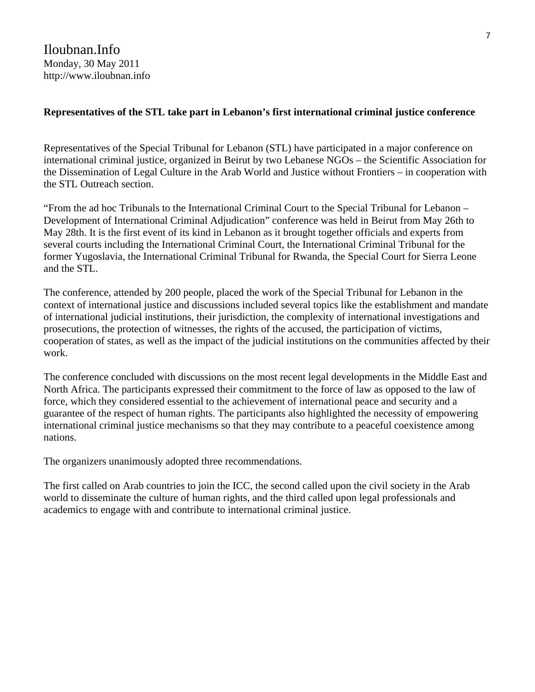# **Representatives of the STL take part in Lebanon's first international criminal justice conference**

Representatives of the Special Tribunal for Lebanon (STL) have participated in a major conference on international criminal justice, organized in Beirut by two Lebanese NGOs – the Scientific Association for the Dissemination of Legal Culture in the Arab World and Justice without Frontiers – in cooperation with the STL Outreach section.

"From the ad hoc Tribunals to the International Criminal Court to the Special Tribunal for Lebanon – Development of International Criminal Adjudication" conference was held in Beirut from May 26th to May 28th. It is the first event of its kind in Lebanon as it brought together officials and experts from several courts including the International Criminal Court, the International Criminal Tribunal for the former Yugoslavia, the International Criminal Tribunal for Rwanda, the Special Court for Sierra Leone and the STL.

The conference, attended by 200 people, placed the work of the Special Tribunal for Lebanon in the context of international justice and discussions included several topics like the establishment and mandate of international judicial institutions, their jurisdiction, the complexity of international investigations and prosecutions, the protection of witnesses, the rights of the accused, the participation of victims, cooperation of states, as well as the impact of the judicial institutions on the communities affected by their work.

The conference concluded with discussions on the most recent legal developments in the Middle East and North Africa. The participants expressed their commitment to the force of law as opposed to the law of force, which they considered essential to the achievement of international peace and security and a guarantee of the respect of human rights. The participants also highlighted the necessity of empowering international criminal justice mechanisms so that they may contribute to a peaceful coexistence among nations.

The organizers unanimously adopted three recommendations.

The first called on Arab countries to join the ICC, the second called upon the civil society in the Arab world to disseminate the culture of human rights, and the third called upon legal professionals and academics to engage with and contribute to international criminal justice.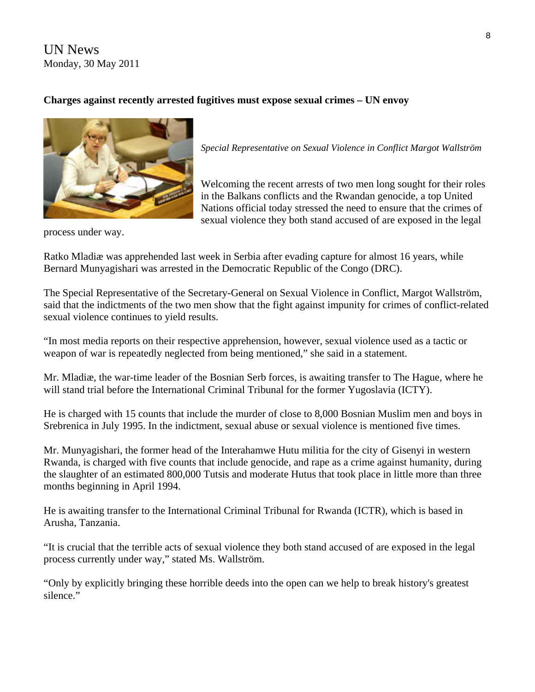UN News Monday, 30 May 2011

# **Charges against recently arrested fugitives must expose sexual crimes – UN envoy**



*Special Representative on Sexual Violence in Conflict Margot Wallström* 

Welcoming the recent arrests of two men long sought for their roles in the Balkans conflicts and the Rwandan genocide, a top United Nations official today stressed the need to ensure that the crimes of sexual violence they both stand accused of are exposed in the legal

process under way.

Ratko Mladiæ was apprehended last week in Serbia after evading capture for almost 16 years, while Bernard Munyagishari was arrested in the Democratic Republic of the Congo (DRC).

The Special Representative of the Secretary-General on Sexual Violence in Conflict, Margot Wallström, said that the indictments of the two men show that the fight against impunity for crimes of conflict-related sexual violence continues to yield results.

"In most media reports on their respective apprehension, however, sexual violence used as a tactic or weapon of war is repeatedly neglected from being mentioned," she said in a statement.

Mr. Mladiæ, the war-time leader of the Bosnian Serb forces, is awaiting transfer to The Hague, where he will stand trial before the International Criminal Tribunal for the former Yugoslavia (ICTY).

He is charged with 15 counts that include the murder of close to 8,000 Bosnian Muslim men and boys in Srebrenica in July 1995. In the indictment, sexual abuse or sexual violence is mentioned five times.

Mr. Munyagishari, the former head of the Interahamwe Hutu militia for the city of Gisenyi in western Rwanda, is charged with five counts that include genocide, and rape as a crime against humanity, during the slaughter of an estimated 800,000 Tutsis and moderate Hutus that took place in little more than three months beginning in April 1994.

He is awaiting transfer to the International Criminal Tribunal for Rwanda (ICTR), which is based in Arusha, Tanzania.

"It is crucial that the terrible acts of sexual violence they both stand accused of are exposed in the legal process currently under way," stated Ms. Wallström.

"Only by explicitly bringing these horrible deeds into the open can we help to break history's greatest silence."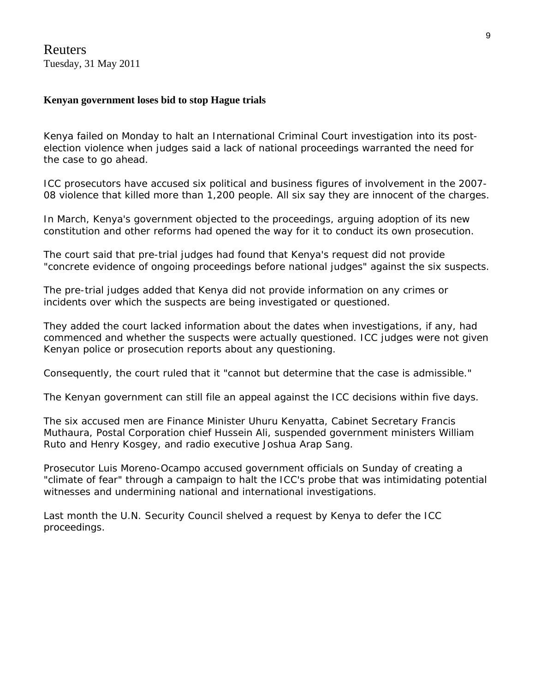Reuters Tuesday, 31 May 2011

## **Kenyan government loses bid to stop Hague trials**

Kenya failed on Monday to halt an International Criminal Court investigation into its postelection violence when judges said a lack of national proceedings warranted the need for the case to go ahead.

ICC prosecutors have accused six political and business figures of involvement in the 2007- 08 violence that killed more than 1,200 people. All six say they are innocent of the charges.

In March, Kenya's government objected to the proceedings, arguing adoption of its new constitution and other reforms had opened the way for it to conduct its own prosecution.

The court said that pre-trial judges had found that Kenya's request did not provide "concrete evidence of ongoing proceedings before national judges" against the six suspects.

The pre-trial judges added that Kenya did not provide information on any crimes or incidents over which the suspects are being investigated or questioned.

They added the court lacked information about the dates when investigations, if any, had commenced and whether the suspects were actually questioned. ICC judges were not given Kenyan police or prosecution reports about any questioning.

Consequently, the court ruled that it "cannot but determine that the case is admissible."

The Kenyan government can still file an appeal against the ICC decisions within five days.

The six accused men are Finance Minister Uhuru Kenyatta, Cabinet Secretary Francis Muthaura, Postal Corporation chief Hussein Ali, suspended government ministers William Ruto and Henry Kosgey, and radio executive Joshua Arap Sang.

Prosecutor Luis Moreno-Ocampo accused government officials on Sunday of creating a "climate of fear" through a campaign to halt the ICC's probe that was intimidating potential witnesses and undermining national and international investigations.

Last month the U.N. Security Council shelved a request by Kenya to defer the ICC proceedings.